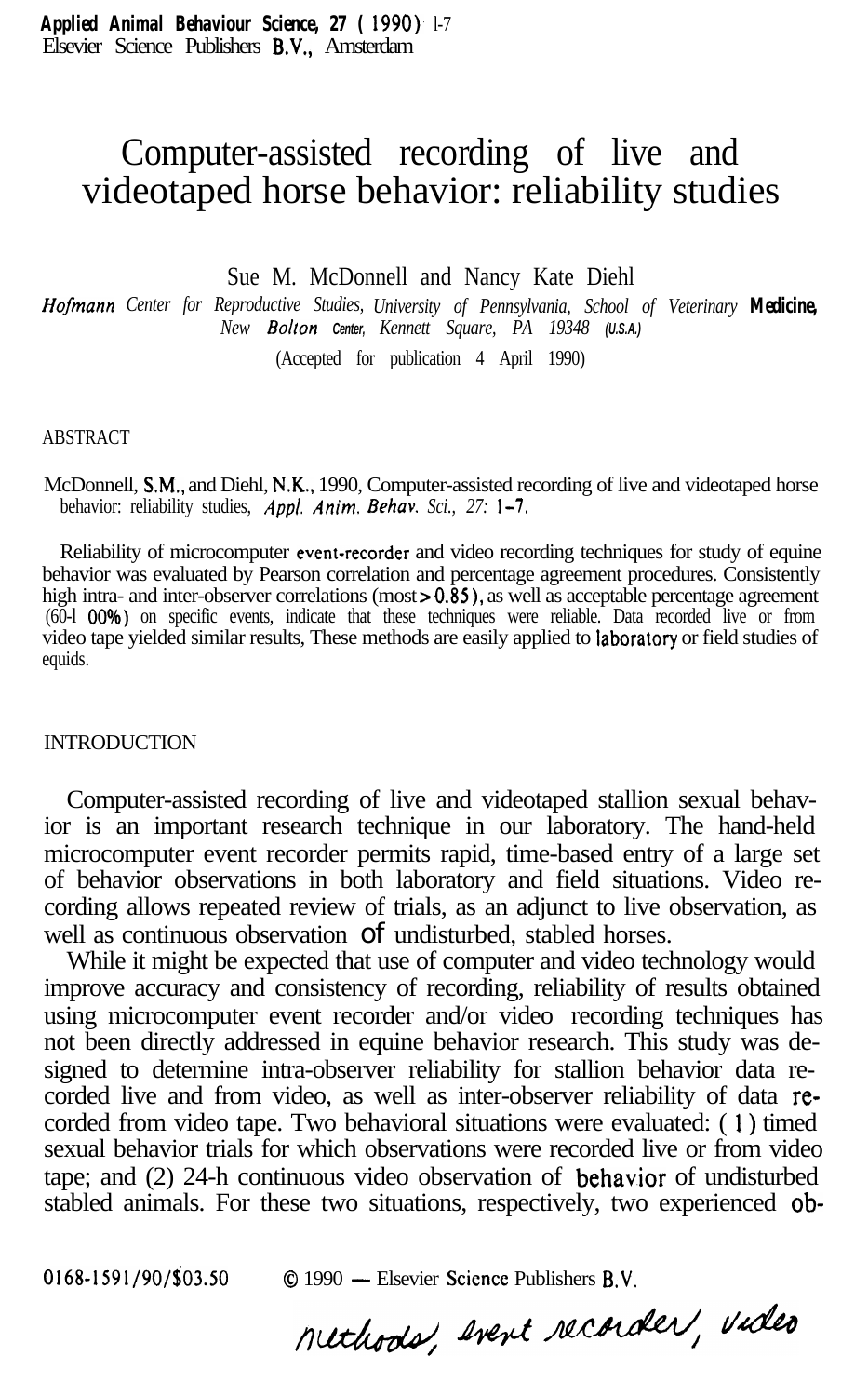# Computer-assisted recording of live and videotaped horse behavior: reliability studies

Sue M. McDonnell and Nancy Kate Diehl

*Hofmunn Center for Reproductive Studies, University of Pennsylvania, School of Veterinary Medicine, New Bolton Center, Kennett Square, PA 19348 (U.S.A.)*

(Accepted for publication 4 April 1990)

#### ABSTRACT

McDonnell, SM., and Diehl, N.K., 1990, Computer-assisted recording of live and videotaped horse behavior: reliability studies, *Appl. Anim, Behav. Sci., 27: l-7,*

Reliability of microcomputer event-recorder and video recording techniques for study of equine behavior was evaluated by Pearson correlation and percentage agreement procedures. Consistently high intra- and inter-observer correlations (most > 0.85), as well as acceptable percentage agreement (60-l 00\*/6) on specific events, indicate that these techniques were reliable. Data recorded live or from video tape yielded similar results, These methods are easily applied to taboratory or field studies of equids.

### **INTRODUCTION**

Computer-assisted recording of live and videotaped stallion sexual behavior is an important research technique in our laboratory. The hand-held microcomputer event recorder permits rapid, time-based entry of a large set of behavior observations in both laboratory and field situations. Video recording allows repeated review of trials, as an adjunct to live observation, as well as continuous observation of undisturbed, stabled horses.

While it might be expected that use of computer and video technology would improve accuracy and consistency of recording, reliability of results obtained using microcomputer event recorder and/or video recording techniques has not been directly addressed in equine behavior research. This study was designed to determine intra-observer reliability for stallion behavior data recorded live and from video, as well as inter-observer reliability of data recorded from video tape. Two behavioral situations were evaluated: ( 1) timed sexual behavior trials for which observations were recorded live or from video tape; and  $(2)$  24-h continuous video observation of **behavior** of undisturbed stabled animals. For these two situations, respectively, two experienced ob-

0168-1591/90/\$03.50 0 1990 - Elsevier Science Publishers B.V.<br>Methods, Ivent recorder, Victor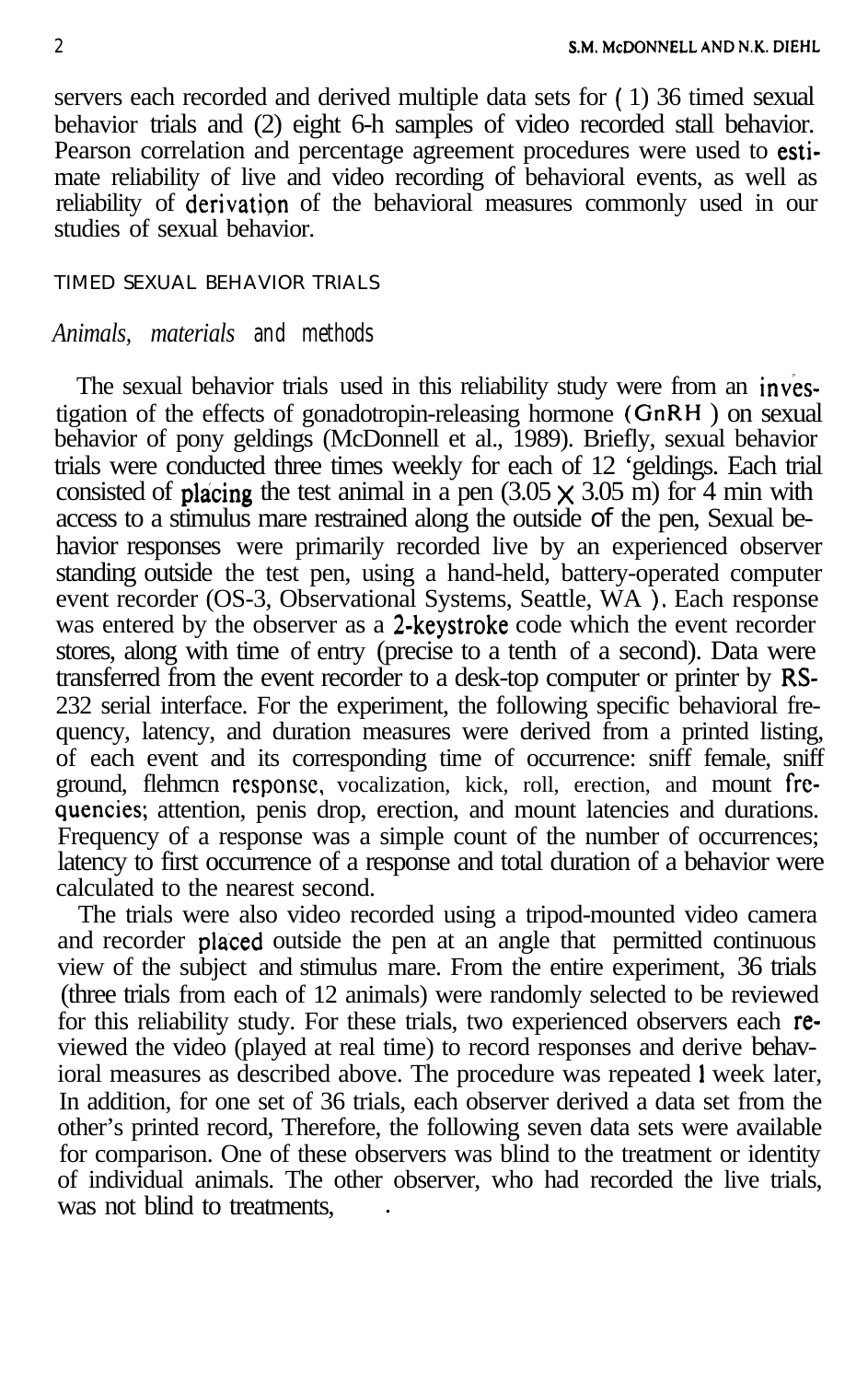servers each recorded and derived multiple data sets for ( 1) 36 timed sexual behavior trials and (2) eight 6-h samples of video recorded stall behavior. Pearson correlation and percentage agreement procedures were used to estimate reliability of live and video recording of behavioral events, as well as reliability of derivation of the behavioral measures commonly used in our studies of sexual behavior.

# TIMED SEXUAL BEHAVIOR TRIALS

# *Animals, materials and methods*

The sexual behavior trials used in this reliability study were from an investigation of the effects of gonadotropin-releasing hormone (GnRH ) on sexual behavior of pony geldings (McDonnell et al., 1989). Briefly, sexual behavior trials were conducted three times weekly for each of 12 'geldings. Each trial consisted of placing the test animal in a pen  $(3.05 \times 3.05 \text{ m})$  for 4 min with access to a stimulus mare restrained along the outside of the pen, Sexual behavior responses were primarily recorded live by an experienced observer standing outside the test pen, using a hand-held, battery-operated computer event recorder (OS-3, Observational Systems, Seattle, WA ), Each response was entered by the observer as a 2-keystroke code which the event recorder stores, along with time of entry (precise to a tenth of a second). Data were transferred from the event recorder to a desk-top computer or printer by RS-232 serial interface. For the experiment, the following specific behavioral frequency, latency, and duration measures were derived from a printed listing, of each event and its corresponding time of occurrence: sniff female, sniff ground, flehmcn rcsponsc, vocalization, kick, roll, erection, and mount frcquencies; attention, penis drop, erection, and mount latencies and durations. Frequency of a response was a simple count of the number of occurrences; latency to first occurrence of a response and total duration of a behavior were calculated to the nearest second.

The trials were also video recorded using a tripod-mounted video camera and recorder placed outside the pen at an angle that permitted continuous view of the subject and stimulus mare. From the entire experiment, 36 trials (three trials from each of 12 animals) were randomly selected to be reviewed for this reliability study. For these trials, two experienced observers each reviewed the video (played at real time) to record responses and derive behavioral measures as described above. The procedure was repeated I week later, In addition, for one set of 36 trials, each observer derived a data set from the other's printed record, Therefore, the following seven data sets were available for comparison. One of these observers was blind to the treatment or identity of individual animals. The other observer, who had recorded the live trials, was not blind to treatments.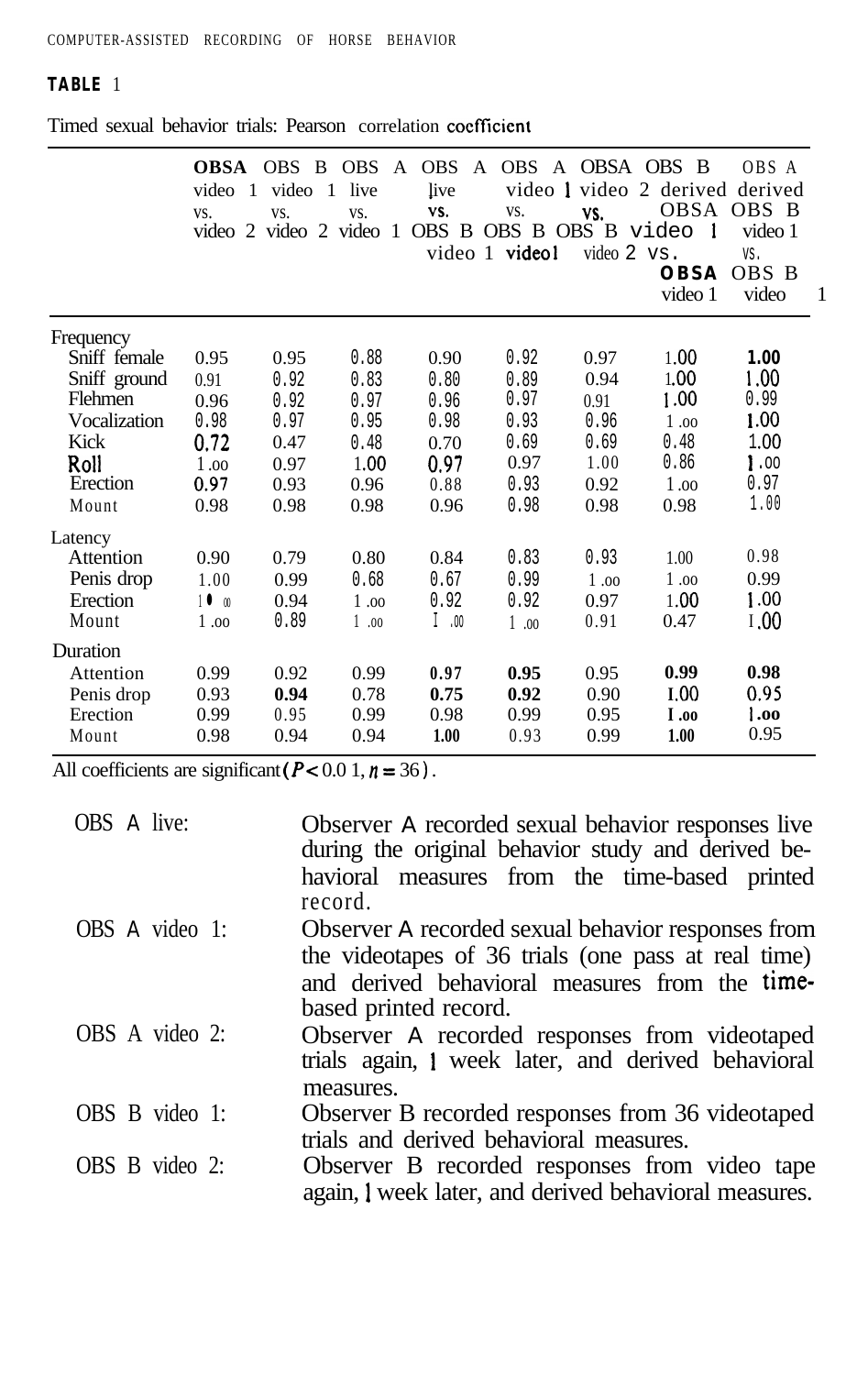# **TABLE** 1

|              | video 1<br>VS.  | video 1<br>VS. | live<br>VS. | <b>OBSA</b> OBS B OBS A OBS A OBS A OBSA OBS B<br>live<br>VS.<br>video 2 video 2 video 1 OBS B OBS B OBS B video 1 | VS.<br>video 1 video1 | VS.<br>video 2 vs. | video 1 video 2 derived derived<br><b>OBSA</b><br>video 1 | OBS A<br>OBSA OBS B<br>video 1<br>VS.<br>OBS B<br>video | -1 |
|--------------|-----------------|----------------|-------------|--------------------------------------------------------------------------------------------------------------------|-----------------------|--------------------|-----------------------------------------------------------|---------------------------------------------------------|----|
| Frequency    |                 |                |             |                                                                                                                    |                       |                    |                                                           |                                                         |    |
| Sniff female | 0.95            | 0.95           | 0.88        | 0.90                                                                                                               | 0.92                  | 0.97               | 1.00                                                      | 1.00                                                    |    |
| Sniff ground | 0.91            | 0.92           | 0.83        | 0.80                                                                                                               | 0.89                  | 0.94               | 1.00                                                      | 1.00                                                    |    |
| Flehmen      | 0.96            | 0.92           | 0.97        | 0.96                                                                                                               | 0.97                  | 0.91               | 1.00                                                      | 0.99                                                    |    |
| Vocalization | 0.98            | 0.97           | 0.95        | 0.98                                                                                                               | 0.93                  | 0.96               | 1.00                                                      | 1.00                                                    |    |
| Kick         | 0.72            | 0.47           | 0.48        | 0.70                                                                                                               | 0.69                  | 0.69               | 0.48                                                      | 1.00                                                    |    |
| Roll         | 1.00            | 0.97           | 1.00        | 0.97                                                                                                               | 0.97                  | 1.00               | 0.86                                                      | $\mathbf{1.00}$                                         |    |
| Erection     | 0.97            | 0.93           | 0.96        | 0.88                                                                                                               | 0.93                  | 0.92               | 1.00                                                      | 0.97                                                    |    |
| Mount        | 0.98            | 0.98           | 0.98        | 0.96                                                                                                               | 0.98                  | 0.98               | 0.98                                                      | 1.00                                                    |    |
| Latency      |                 |                |             |                                                                                                                    |                       |                    |                                                           |                                                         |    |
| Attention    | 0.90            | 0.79           | 0.80        | 0.84                                                                                                               | 0.83                  | 0.93               | 1.00                                                      | 0.98                                                    |    |
| Penis drop   | 1.00            | 0.99           | 0.68        | 0.67                                                                                                               | 0.99                  | 1.00               | 1.00                                                      | 0.99                                                    |    |
| Erection     | 10 <sub>0</sub> | 0.94           | 1.00        | 0.92                                                                                                               | 0.92                  | 0.97               | 1.00                                                      | 1.00                                                    |    |
| Mount        | 1.00            | 0.89           | 1.00        | 1.00                                                                                                               | 1.00                  | 0.91               | 0.47                                                      | 1.00                                                    |    |
| Duration     |                 |                |             |                                                                                                                    |                       |                    |                                                           |                                                         |    |
| Attention    | 0.99            | 0.92           | 0.99        | 0.97                                                                                                               | 0.95                  | 0.95               | 0.99                                                      | 0.98                                                    |    |
| Penis drop   | 0.93            | 0.94           | 0.78        | 0.75                                                                                                               | 0.92                  | 0.90               | I.00                                                      | 0.95                                                    |    |
| Erection     | 0.99            | 0.95           | 0.99        | 0.98                                                                                                               | 0.99                  | 0.95               | <b>1.00</b>                                               | 1.00                                                    |    |
| Mount        | 0.98            | 0.94           | 0.94        | 1.00                                                                                                               | 0.93                  | 0.99               | 1.00                                                      | 0.95                                                    |    |

Timed sexual behavior trials: Pearson correlation coefficient

All coefficients are significant ( $P < 0.0$  1,  $n = 36$ ).

| OBS A live:    | Observer A recorded sexual behavior responses live<br>during the original behavior study and derived be-<br>havioral measures from the time-based printed<br>record.                 |
|----------------|--------------------------------------------------------------------------------------------------------------------------------------------------------------------------------------|
| OBS A video 1: | Observer A recorded sexual behavior responses from<br>the videotapes of 36 trials (one pass at real time)<br>and derived behavioral measures from the time-<br>based printed record. |
| OBS A video 2: | Observer A recorded responses from videotaped<br>trials again, I week later, and derived behavioral<br>measures.                                                                     |
| OBS B video 1: | Observer B recorded responses from 36 videotaped<br>trials and derived behavioral measures.                                                                                          |
| OBS B video 2: | Observer B recorded responses from video tape<br>again, I week later, and derived behavioral measures.                                                                               |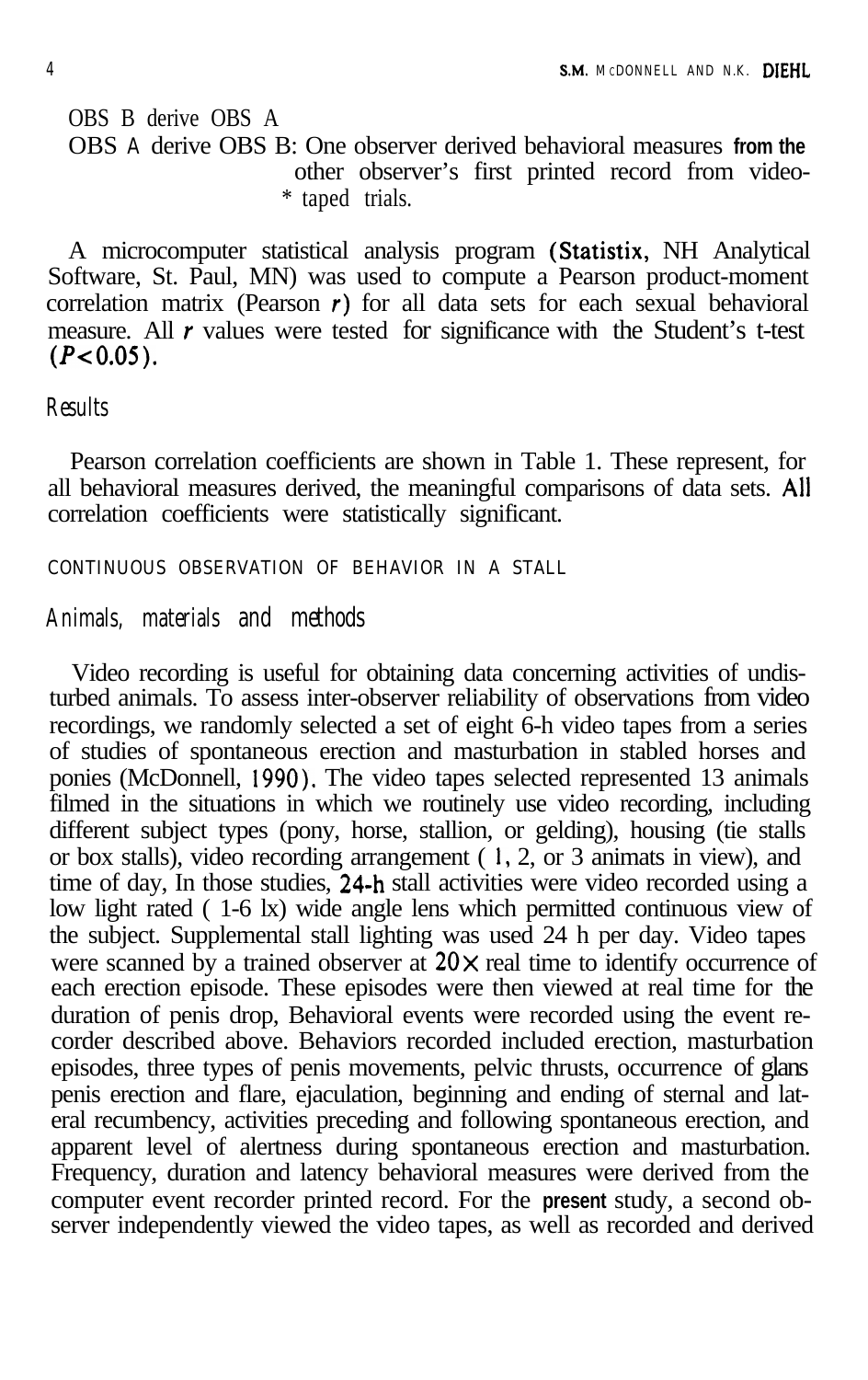OBS B derive OBS A OBS **A** derive OBS B: One observer derived behavioral measures **from the** other observer's first printed record from video- \* taped trials.

A microcomputer statistical analysis program (Statistix, NH Analytical Software, St. Paul, MN) was used to compute a Pearson product-moment correlation matrix (Pearson  $r$ ) for all data sets for each sexual behavioral measure. All  $r$  values were tested for significance with the Student's t-test  $(P<0.05)$ .

*Results*

Pearson correlation coefficients are shown in Table 1. These represent, for all behavioral measures derived, the meaningful comparisons of data sets. All correlation coefficients were statistically significant.

CONTINUOUS OBSERVATION OF BEHAVIOR IN A STALL

# *Animals, materials and methods*

Video recording is useful for obtaining data concerning activities of undisturbed animals. To assess inter-observer reliability of observations from video recordings, we randomly selected a set of eight 6-h video tapes from a series of studies of spontaneous erection and masturbation in stabled horses and ponies (McDonnell, 1990). The video tapes selected represented 13 animals filmed in the situations in which we routinely use video recording, including different subject types (pony, horse, stallion, or gelding), housing (tie stalls or box stalls), video recording arrangement ( 1, 2, or 3 animats in view), and time of day, In those studies, 24-h stall activities were video recorded using a low light rated ( 1-6 lx) wide angle lens which permitted continuous view of the subject. Supplemental stall lighting was used 24 h per day. Video tapes were scanned by a trained observer at  $20 \times$  real time to identify occurrence of each erection episode. These episodes were then viewed at real time for the duration of penis drop, Behavioral events were recorded using the event recorder described above. Behaviors recorded included erection, masturbation episodes, three types of penis movements, pelvic thrusts, occurrence of glans penis erection and flare, ejaculation, beginning and ending of sternal and lateral recumbency, activities preceding and following spontaneous erection, and apparent level of alertness during spontaneous erection and masturbation. Frequency, duration and latency behavioral measures were derived from the computer event recorder printed record. For the **present** study, a second observer independently viewed the video tapes, as well as recorded and derived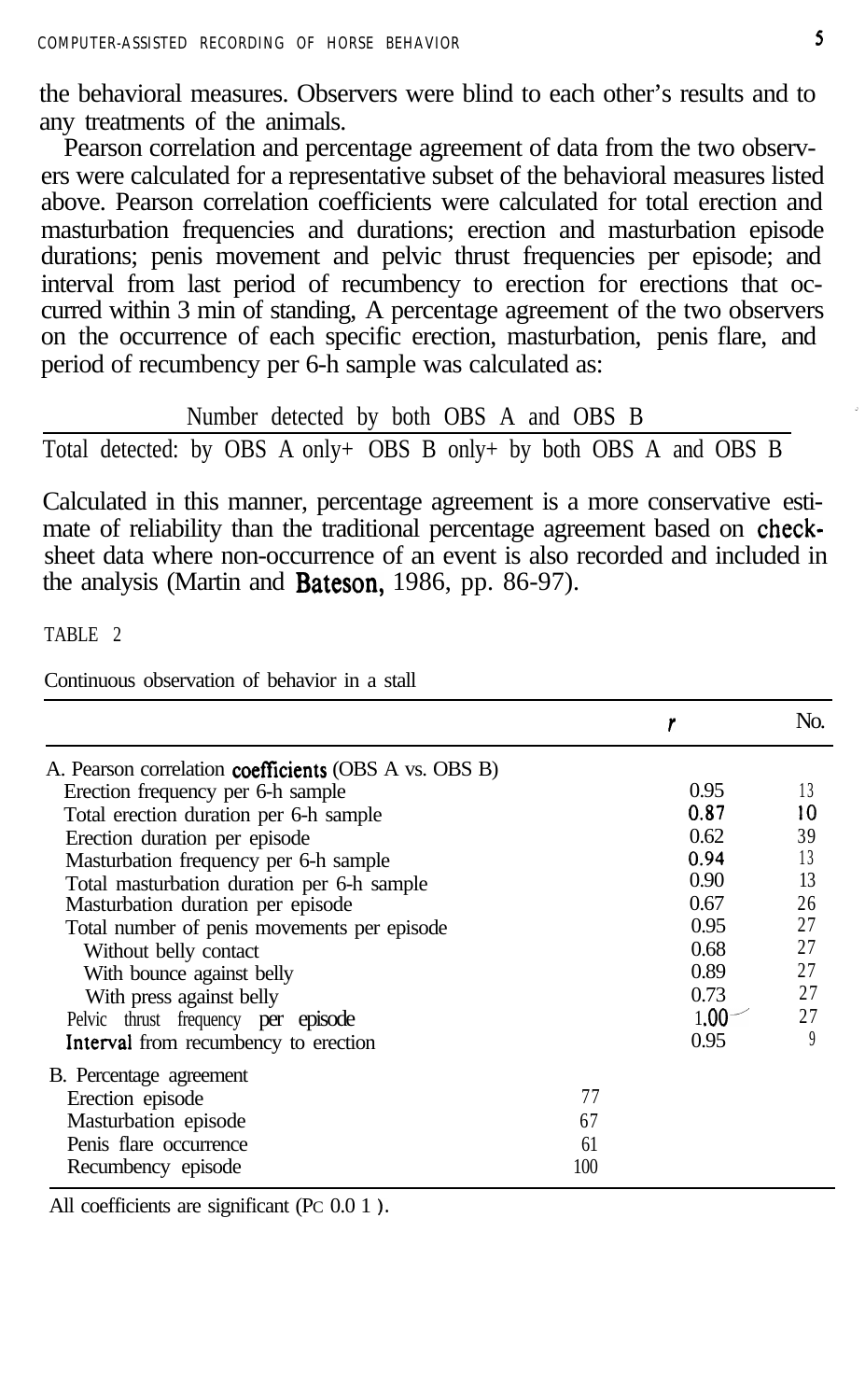the behavioral measures. Observers were blind to each other's results and to any treatments of the animals.

Pearson correlation and percentage agreement of data from the two observers were calculated for a representative subset of the behavioral measures listed above. Pearson correlation coefficients were calculated for total erection and masturbation frequencies and durations; erection and masturbation episode durations; penis movement and pelvic thrust frequencies per episode; and interval from last period of recumbency to erection for erections that occurred within 3 min of standing, A percentage agreement of the two observers on the occurrence of each specific erection, masturbation, penis flare, and period of recumbency per 6-h sample was calculated as:

Number detected by both OBS A and OBS B

Total detected: by OBS A only+ OBS B only+ by both OBS A and OBS B

Calculated in this manner, percentage agreement is a more conservative estimate of reliability than the traditional percentage agreement based on checksheet data where non-occurrence of an event is also recorded and included in the analysis (Martin and **Bateson**, 1986, pp. 86-97).

TABLE 2

Continuous observation of behavior in a stall

|                                                              |     |                   | No. |
|--------------------------------------------------------------|-----|-------------------|-----|
| A. Pearson correlation <b>coefficients</b> (OBS A vs. OBS B) |     |                   |     |
| Erection frequency per 6-h sample                            |     | 0.95              | 13  |
| Total erection duration per 6-h sample                       |     | 0.87              | 10  |
| Erection duration per episode                                |     | 0.62              | 39  |
| Masturbation frequency per 6-h sample                        |     | 0.94              | 13  |
| Total masturbation duration per 6-h sample                   |     | 0.90              | 13  |
| Masturbation duration per episode                            |     | 0.67              | 26  |
| Total number of penis movements per episode                  |     | 0.95              | 27  |
| Without belly contact                                        |     | 0.68              | 27  |
| With bounce against belly                                    |     | 0.89              | 27  |
| With press against belly                                     |     | 0.73              | 27  |
| Pelvic thrust frequency per episode                          |     | 1.00 <sup>°</sup> | 27  |
| Interval from recumbency to erection                         |     | 0.95              | 9   |
| B. Percentage agreement                                      |     |                   |     |
| Erection episode                                             | 77  |                   |     |
| Masturbation episode                                         | 67  |                   |     |
| Penis flare occurrence                                       | 61  |                   |     |
| Recumbency episode                                           | 100 |                   |     |

All coefficients are significant (PC 0.0 1 ).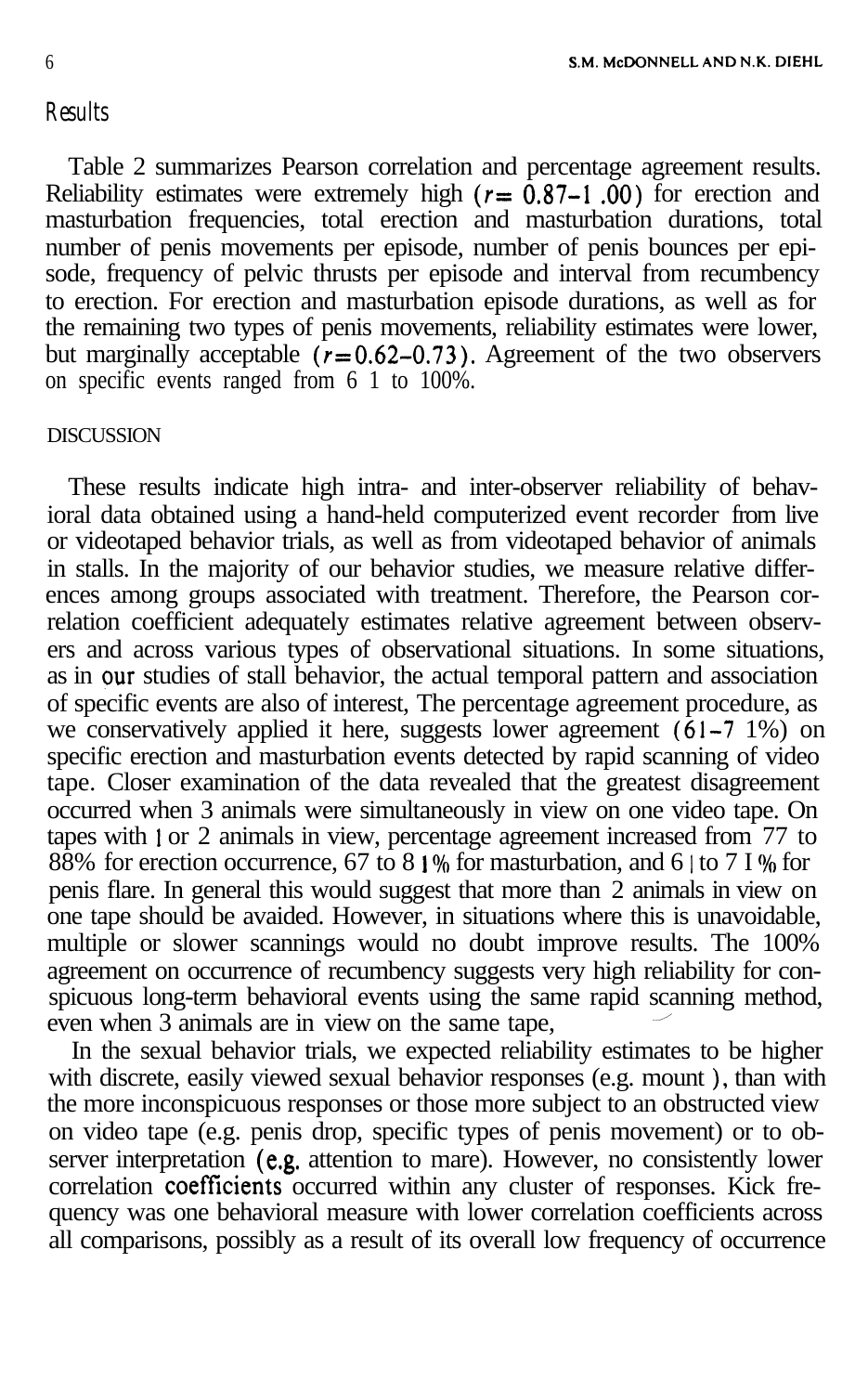# *Results*

Table 2 summarizes Pearson correlation and percentage agreement results. Reliability estimates were extremely high ( $r = 0.87 - 1.00$ ) for erection and masturbation frequencies, total erection and masturbation durations, total number of penis movements per episode, number of penis bounces per episode, frequency of pelvic thrusts per episode and interval from recumbency to erection. For erection and masturbation episode durations, as well as for the remaining two types of penis movements, reliability estimates were lower, but marginally acceptable  $(r=0.62-0.73)$ . Agreement of the two observers on specific events ranged from 6 1 to 100%.

# **DISCUSSION**

These results indicate high intra- and inter-observer reliability of behavioral data obtained using a hand-held computerized event recorder from live or videotaped behavior trials, as well as from videotaped behavior of animals in stalls. In the majority of our behavior studies, we measure relative differences among groups associated with treatment. Therefore, the Pearson correlation coefficient adequately estimates relative agreement between observers and across various types of observational situations. In some situations, as in our studies of stall behavior, the actual temporal pattern and association of specific events are also of interest, The percentage agreement procedure, as we conservatively applied it here, suggests lower agreement  $(61-7 1\%)$  on specific erection and masturbation events detected by rapid scanning of video tape. Closer examination of the data revealed that the greatest disagreement occurred when 3 animals were simultaneously in view on one video tape. On tapes with 1 or 2 animals in view, percentage agreement increased from 77 to 88% for erection occurrence, 67 to 8  $1\%$  for masturbation, and 6 | to 7 I % for penis flare. In general this would suggest that more than 2 animals in view on one tape should be avaided. However, in situations where this is unavoidable, multiple or slower scannings would no doubt improve results. The 100% agreement on occurrence of recumbency suggests very high reliability for conspicuous long-term behavioral events using the same rapid scanning method, even when  $3$  animals are in view on the same tape,

In the sexual behavior trials, we expected reliability estimates to be higher with discrete, easily viewed sexual behavior responses (e.g. mount ), than with the more inconspicuous responses or those more subject to an obstructed view on video tape (e.g. penis drop, specific types of penis movement) or to observer interpretation (e.g. attention to mare). However, no consistently lower correlation coefficients occurred within any cluster of responses. Kick frequency was one behavioral measure with lower correlation coefficients across all comparisons, possibly as a result of its overall low frequency of occurrence